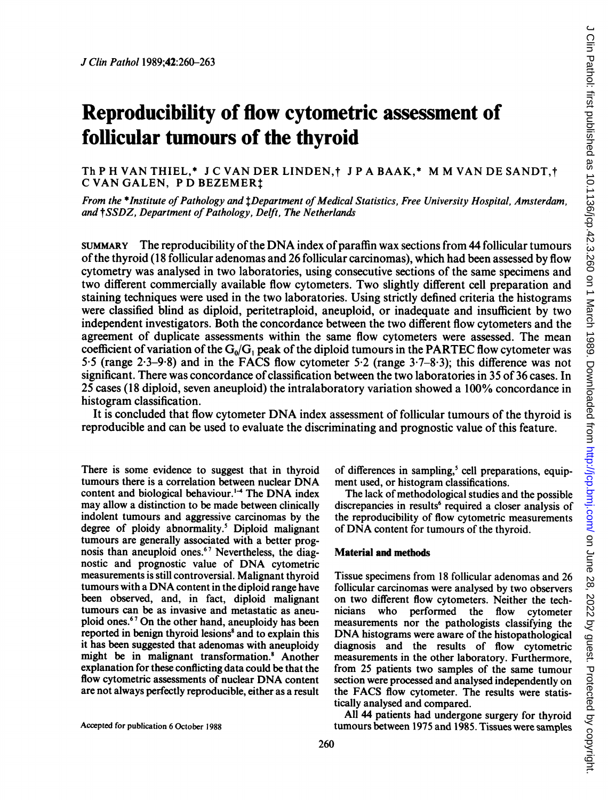# Reproducibility of flow cytometric assessment of follicular tumours of the thyroid

Th <sup>P</sup> H VAN THIEL,\* <sup>J</sup> C VAN DER LINDEN,t <sup>J</sup> <sup>P</sup> A BAAK,\* M M VAN DE SANDT,t C VAN GALEN, <sup>P</sup> D BEZEMERt

From the \*Institute of Pathology and *LDepartment of Medical Statistics, Free University Hospital, Amsterdam*, and † SSDZ, Department of Pathology, Delft, The Netherlands

SUMMARY The reproducibility of the DNA index ofparaffin wax sections from <sup>44</sup> follicular tumours of the thyroid (18 follicular adenomas and 26 follicular carcinomas), which had been assessed by flow cytometry was analysed in two laboratories, using consecutive sections of the same specimens and two different commercially available flow cytometers. Two slightly different cell preparation and staining techniques were used in the two laboratories. Using strictly defined criteria the histograms were classified blind as diploid, peritetraploid, aneuploid, or inadequate and insufficient by two independent investigators. Both the concordance between the two different flow cytometers and the agreement of duplicate assessments within the same flow cytometers were assessed. The mean coefficient of variation of the  $G_0/G_1$  peak of the diploid tumours in the PARTEC flow cytometer was 5 5 (range <sup>2</sup> 3-9 8) and in the FACS flow cytometer 5-2 (range <sup>3</sup> 7-8 3); this difference was not significant. There was concordance of classification between the two laboratories in 35 of 36 cases. In 25 cases (18 diploid, seven aneuploid) the intralaboratory variation showed a 100% concordance in histogram classification.

It is concluded that flow cytometer DNA index assessment of follicular tumours of the thyroid is reproducible and can be used to evaluate the discriminating and prognostic value of this feature.

There is some evidence to suggest that in thyroid tumours there is <sup>a</sup> correlation between nuclear DNA content and biological behaviour.<sup>1-4</sup> The DNA index may allow a distinction to be made between clinically indolent tumours and aggressive carcinomas by the degree of ploidy abnormality.<sup>5</sup> Diploid malignant tumours are generally associated with a better prognosis than aneuploid ones.<sup>67</sup> Nevertheless, the diagnostic and prognostic value of DNA cytometric measurements is still controversial. Malignant thyroid tumours with <sup>a</sup> DNA content in the diploid range have been observed, and, in fact, diploid malignant tumours can be as invasive and metastatic as aneuploid ones.6" On the other hand, aneuploidy has been reported in benign thyroid lesions<sup>8</sup> and to explain this it has been suggested that adenomas with aneuploidy might be in malignant transformation.8 Another explanation for these conflicting data could be that the flow cytometric assessments of nuclear DNA content are not always perfectly reproducible, either as a result

Accepted for publication 6 October 1988

of differences in sampling,<sup>5</sup> cell preparations, equipment used, or histogram classifications.

The lack of methodological studies and the possible discrepancies in results<sup>6</sup> required a closer analysis of the reproducibility of flow cytometric measurements of DNA content for tumours of the thyroid.

### Material and methods

Tissue specimens from 18 follicular adenomas and 26 follicular carcinomas were analysed by two observers on two different flow cytometers. Neither the tech-<br>nicians who performed the flow cytometer who performed the flow cytometer measurements nor the pathologists classifying the DNA histograms were aware of the histopathological diagnosis and the results of flow cytometric measurements in the other laboratory. Furthermore, from 25 patients two samples of the same tumour section were processed and analysed independently on the FACS flow cytometer. The results were statistically analysed and compared.

All 44 patients had undergone surgery for thyroid tumours between 1975 and 1985. Tissues were samples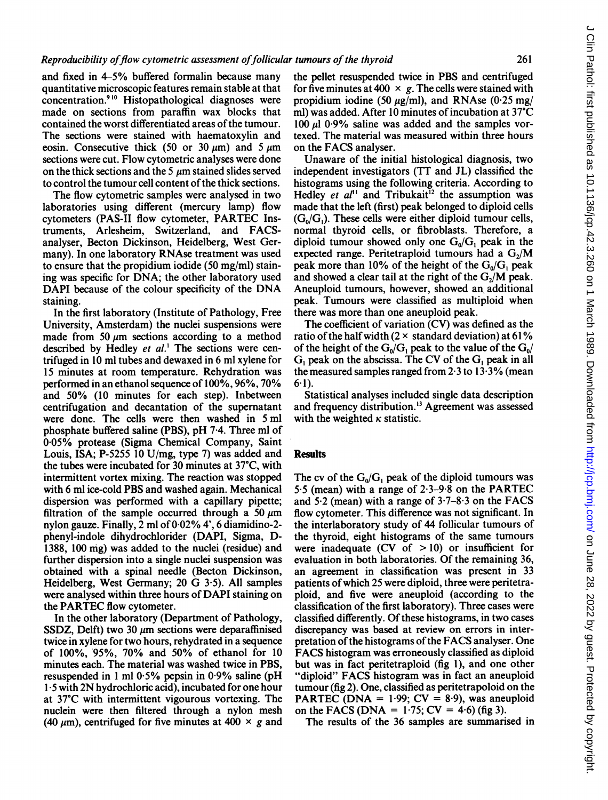and fixed in 4-5% buffered formalin because many quantitative microscopic features remain stable at that concentration.9"0 Histopathological diagnoses were made on sections from paraffin wax blocks that contained the worst differentiated areas of the tumour. The sections were stained with haematoxylin and eosin. Consecutive thick (50 or 30  $\mu$ m) and 5  $\mu$ m sections were cut. Flow cytometric analyses were done on the thick sections and the 5  $\mu$ m stained slides served to control the tumour cell content of the thick sections.

The flow cytometric samples were analysed in two laboratories using different (mercury lamp) flow cytometers (PAS-II flow cytometer, PARTEC Instruments, Arlesheim, Switzerland, and FACSanalyser, Becton Dickinson, Heidelberg, West Germany). In one laboratory RNAse treatment was used to ensure that the propidium iodide (50 mg/ml) staining was specific for DNA; the other laboratory used DAPI because of the colour specificity of the DNA staining.

In the first laboratory (Institute of Pathology, Free University, Amsterdam) the nuclei suspensions were made from 50  $\mu$ m sections according to a method described by Hedley et al.<sup>1</sup> The sections were centrifuged in 10 ml tubes and dewaxed in 6 ml xylene for 15 minutes at room temperature. Rehydration was performed in an ethanol sequence of 100%, 96%, 70% and 50% (10 minutes for each step). Inbetween centrifugation and decantation of the supernatant were done. The cells were then washed in <sup>5</sup> ml phosphate buffered saline (PBS), pH 7-4. Three ml of 0-05% protease (Sigma Chemical Company, Saint Louis, ISA; P-5255 10 U/mg, type 7) was added and the tubes were incubated for 30 minutes at 37°C, with intermittent vortex mixing. The reaction was stopped with 6 ml ice-cold PBS and washed again. Mechanical dispersion was performed with a capillary pipette; filtration of the sample occurred through a 50  $\mu$ m nylon gauze. Finally, 2 ml of 0-02% <sup>4</sup>', 6 diamidino-2 phenyl-indole dihydrochlorider (DAPI, Sigma, D-1388, 100 mg) was added to the nuclei (residue) and further dispersion into a single nuclei suspension was obtained with a spinal needle (Becton Dickinson, Heidelberg, West Germany; 20 G 3.5). All samples were analysed within three hours of DAPI staining on the PARTEC flow cytometer.

In the other laboratory (Department of Pathology, SSDZ, Delft) two 30  $\mu$ m sections were deparaffinised twice in xylene for two hours, rehydrated in a sequence of 100%, 95%, 70% and 50% of ethanol for 10 minutes each. The material was washed twice in PBS, resuspended in 1 ml  $0.5\%$  pepsin in  $0.9\%$  saline (pH 1-5 with 2N hydrochloric acid), incubated for one hour at 37°C with intermittent vigourous vortexing. The nuclein were then filtered through a nylon mesh (40  $\mu$ m), centrifuged for five minutes at 400  $\times$  g and

the pellet resuspended twice in PBS and centrifuged for five minutes at 400  $\times$  g. The cells were stained with propidium iodine (50  $\mu$ g/ml), and RNAse (0.25 mg/ ml) was added. After 10 minutes of incubation at 37°C  $100 \mu l$  0.9% saline was added and the samples vortexed. The material was measured within three hours on the FACS analyser.

Unaware of the initial histological diagnosis, two independent investigators (TT and JL) classified the histograms using the following criteria. According to Hedley et  $al^{11}$  and Tribukait<sup>12</sup> the assumption was made that the left (first) peak belonged to diploid cells  $(G_0/G_1)$ . These cells were either diploid tumour cells, normal thyroid cells, or fibroblasts. Therefore, a diploid tumour showed only one  $G_0/G_1$  peak in the expected range. Peritetraploid tumours had a  $G<sub>2</sub>/M$ peak more than 10% of the height of the  $G_0/G_1$  peak and showed a clear tail at the right of the  $G<sub>2</sub>/M$  peak. Aneuploid tumours, however, showed an additional peak. Tumours were classified as multiploid when there was more than one aneuploid peak.

The coefficient of variation (CV) was defined as the ratio of the half width ( $2 \times$  standard deviation) at 61% of the height of the  $G_0/G_1$  peak to the value of the  $G_0/$ G, peak on the abscissa. The CV of the G, peak in all the measured samples ranged from  $2.3$  to  $13.3\%$  (mean  $6-1$ ).

Statistical analyses included single data description and frequency distribution.'3 Agreement was assessed with the weighted  $\kappa$  statistic.

#### **Results**

The cv of the  $G_0/G_1$  peak of the diploid tumours was 5.5 (mean) with <sup>a</sup> range of 2-3-9-8 on the PARTEC and  $5.2$  (mean) with a range of  $3.7-8.3$  on the FACS flow cytometer. This difference was not significant. In the interlaboratory study of 44 follicular tumours of the thyroid, eight histograms of the same tumours were inadequate (CV of  $> 10$ ) or insufficient for evaluation in both laboratories. Of the remaining 36, an agreement in classification was present in 33 patients of which 25 were diploid, three were peritetraploid, and five were aneuploid (according to the classification of the first laboratory). Three cases were classified differently. Of these histograms, in two cases discrepancy was based at review on errors in interpretation of the histograms of the FACS analyser. One FACS histogram was erroneously classified as diploid but was in fact peritetraploid (fig 1), and one other "diploid" FACS histogram was in fact an aneuploid tumour (fig 2). One, classified as peritetrapoloid on the PARTEC (DNA =  $1.99$ ; CV = 8.9), was aneuploid on the FACS (DNA =  $1.75$ ; CV =  $4.6$ ) (fig 3).

The results of the 36 samples are summarised in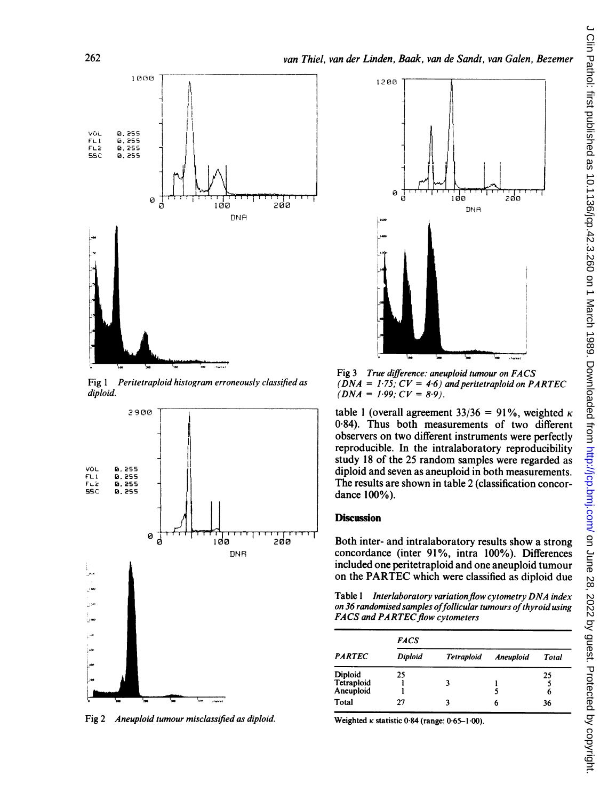

Fig <sup>1</sup> Peritetraploid histogram erroneously classified as diploid.



Fig 2 Aneuploid tumour misclassified as diploid.



Fig 3 True difference: aneuploid tumour on FACS  $(DNA = 1.75; CV = 4.6)$  and peritetraploid on PARTEC  $(DNA = 1.99; CV = 8.9).$ 

table 1 (overall agreement 33/36 = 91%, weighted  $\kappa$ 084). Thus both measurements of two different observers on two different instruments were perfectly reproducible. In the intralaboratory reproducibility study 18 of the 25 random samples were regarded as diploid and seven as aneuploid in both measurements. The results are shown in table 2 (classification concordance 100%).

## **Discussion**

Both inter- and intralaboratory results show a strong concordance (inter 91%, intra 100%). Differences included one peritetraploid and one aneuploid tumour on the PARTEC which were classified as diploid due

Table 1 Interlaboratory variation flow cytometry DNA index on 36 randomised samples of follicular tumours of thyroid using FACS and PARTEC flow cytometers

| <b>PARTEC</b>                      | <b>FACS</b> |                   |                  |         |  |  |
|------------------------------------|-------------|-------------------|------------------|---------|--|--|
|                                    | Diploid     | <b>Tetraploid</b> | <b>Aneuploid</b> | Total   |  |  |
| Diploid<br>Tetraploid<br>Aneuploid | 25          | 3                 |                  | 25<br>6 |  |  |
| Total                              | 27          | ٦                 | h                | 36      |  |  |

Weighted  $\kappa$  statistic 0.84 (range: 0.65-1.00).